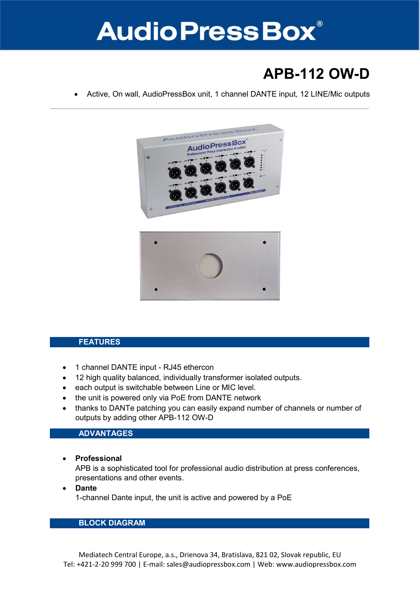

## APB-112 OW-D

Active, On wall, AudioPressBox unit, 1 channel DANTE input, 12 LINE/Mic outputs



#### FEATURES

- 1 channel DANTE input RJ45 ethercon
- 12 high quality balanced, individually transformer isolated outputs.
- each output is switchable between Line or MIC level.
- the unit is powered only via PoE from DANTE network
- thanks to DANTe patching you can easily expand number of channels or number of outputs by adding other APB-112 OW-D

#### ADVANTAGES

• Professional

APB is a sophisticated tool for professional audio distribution at press conferences, presentations and other events.

• Dante 1-channel Dante input, the unit is active and powered by a PoE

### BLOCK DIAGRAM